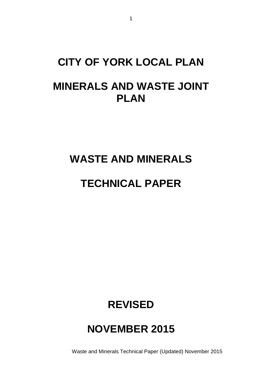# **CITY OF YORK LOCAL PLAN MINERALS AND WASTE JOINT PLAN**

### **WASTE AND MINERALS**

### **TECHNICAL PAPER**

## **REVISED**

## **NOVEMBER 2015**

Waste and Minerals Technical Paper (Updated) November 2015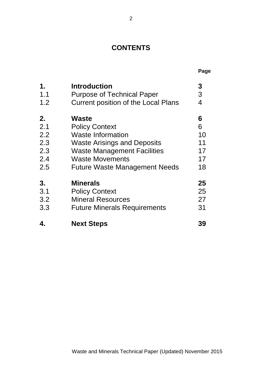### **CONTENTS**

|                  |                                            | Page |
|------------------|--------------------------------------------|------|
| 1.               | <b>Introduction</b>                        | 3    |
| 1.1              | <b>Purpose of Technical Paper</b>          | 3    |
| 1.2              | <b>Current position of the Local Plans</b> | 4    |
| 2.               | Waste                                      | 6    |
| 2.1              | <b>Policy Context</b>                      | 6    |
| $2.2\phantom{0}$ | <b>Waste Information</b>                   | 10   |
| 2.3              | <b>Waste Arisings and Deposits</b>         | 11   |
| 2.3              | <b>Waste Management Facilities</b>         | 17   |
| 2.4              | <b>Waste Movements</b>                     | 17   |
| 2.5              | <b>Future Waste Management Needs</b>       | 18   |
| 3.               | <b>Minerals</b>                            | 25   |
| 3.1              | <b>Policy Context</b>                      | 25   |
| 3.2              | <b>Mineral Resources</b>                   | 27   |
| 3.3              | <b>Future Minerals Requirements</b>        | 31   |
| 4.               | <b>Next Steps</b>                          | 39   |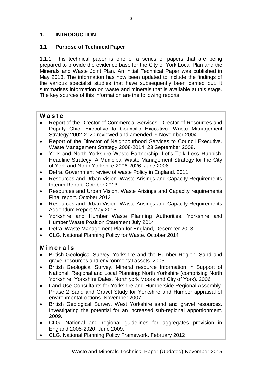#### **1. INTRODUCTION**

#### **1.1 Purpose of Technical Paper**

1.1.1 This technical paper is one of a series of papers that are being prepared to provide the evidence base for the City of York Local Plan and the Minerals and Waste Joint Plan. An initial Technical Paper was published in May 2013. The information has now been updated to include the findings of the various specialist studies that have subsequently been carried out. It summarises information on waste and minerals that is available at this stage. The key sources of this information are the following reports.

#### **W a s t e**

- Report of the Director of Commercial Services, Director of Resources and Deputy Chief Executive to Council's Executive. Waste Management Strategy 2002-2020 reviewed and amended. 9 November 2004.
- Report of the Director of Neighbourhood Services to Council Executive. Waste Management Strategy 2008-2014. 23 September 2008.
- York and North Yorkshire Waste Partnership. Let's Talk Less Rubbish. Headline Strategy. A Municipal Waste Management Strategy for the City of York and North Yorkshire 2006-2026. June 2006.
- Defra. Government review of waste Policy in England. 2011
- Resources and Urban Vision. Waste Arisings and Capacity Requirements Interim Report. October 2013
- Resources and Urban Vision. Waste Arisings and Capacity requirements Final report. October 2013
- Resources and Urban Vision. Waste Arisings and Capacity Requirements Addendum Report May 2015
- Yorkshire and Humber Waste Planning Authorities. Yorkshire and Humber Waste Position Statement July 2014
- Defra. Waste Management Plan for England, December 2013
- CLG. National Planning Policy for Waste. October 2014

#### **M i n e r a l s**

- British Geological Survey. Yorkshire and the Humber Region: Sand and gravel resources and environmental assets. 2005.
- British Geological Survey. Mineral resource Information in Support of National, Regional and Local Planning: North Yorkshire (comprising North Yorkshire, Yorkshire Dales, North york Moors and City of York). 2006
- Land Use Consultants for Yorkshire and Humberside Regional Assembly. Phase 2 Sand and Gravel Study for Yorkshire and Humber appraisal of environmental options. November 2007.
- British Geological Survey. West Yorkshire sand and gravel resources. Investigating the potential for an increased sub-regional apportionment. 2009.
- CLG. National and regional guidelines for aggregates provision in England 2005-2020. June 2009.
- CLG. National Planning Policy Framework. February 2012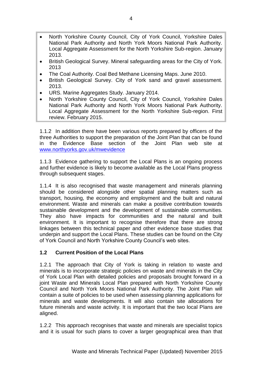- North Yorkshire County Council, City of York Council, Yorkshire Dales National Park Authority and North York Moors National Park Authority. Local Aggregate Assessment for the North Yorkshire Sub-region. January 2013.
- British Geological Survey. Mineral safeguarding areas for the City of York. 2013
- The Coal Authority. Coal Bed Methane Licensing Maps. June 2010.
- British Geological Survey. City of York sand and gravel assessment. 2013.
- URS. Marine Aggregates Study. January 2014.
- North Yorkshire County Council, City of York Council, Yorkshire Dales National Park Authority and North York Moors National Park Authority. Local Aggregate Assessment for the North Yorkshire Sub-region. First review. February 2015.

1.1.2 In addition there have been various reports prepared by officers of the three Authorities to support the preparation of the Joint Plan that can be found in the Evidence Base section of the Joint Plan web site at [www.northyorks.gov.uk/mwevidence](http://www.northyorks.gov.uk/mwevidence)

1.1.3 Evidence gathering to support the Local Plans is an ongoing process and further evidence is likely to become available as the Local Plans progress through subsequent stages.

1.1.4 It is also recognised that waste management and minerals planning should be considered alongside other spatial planning matters such as transport, housing, the economy and employment and the built and natural environment. Waste and minerals can make a positive contribution towards sustainable development and the development of sustainable communities. They also have impacts for communities and the natural and built environment. It is important to recognise therefore that there are strong linkages between this technical paper and other evidence base studies that underpin and support the Local Plans. These studies can be found on the City of York Council and North Yorkshire County Council's web sites.

#### **1.2 Current Position of the Local Plans**

1.2.1 The approach that City of York is taking in relation to waste and minerals is to incorporate strategic policies on waste and minerals in the City of York Local Plan with detailed policies and proposals brought forward in a joint Waste and Minerals Local Plan prepared with North Yorkshire County Council and North York Moors National Park Authority. The Joint Plan will contain a suite of policies to be used when assessing planning applications for minerals and waste developments. It will also contain site allocations for future minerals and waste activity. It is important that the two local Plans are aligned.

1.2.2 This approach recognises that waste and minerals are specialist topics and it is usual for such plans to cover a larger geographical area than that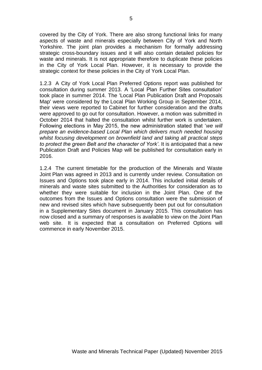covered by the City of York. There are also strong functional links for many aspects of waste and minerals especially between City of York and North Yorkshire. The joint plan provides a mechanism for formally addressing strategic cross-boundary issues and it will also contain detailed policies for waste and minerals. It is not appropriate therefore to duplicate these policies in the City of York Local Plan. However, it is necessary to provide the strategic context for these policies in the City of York Local Plan.

1.2.3 A City of York Local Plan Preferred Options report was published for consultation during summer 2013. A 'Local Plan Further Sites consultation' took place in summer 2014. The ['Local Plan Publication Draft and Proposals](http://democracy.york.gov.uk/ieListDocuments.aspx?CId=733&MId=8553&Ver=4)  [Map'](http://democracy.york.gov.uk/ieListDocuments.aspx?CId=733&MId=8553&Ver=4) were considered by the [Local Plan Working Group in September 2014,](http://democracy.york.gov.uk/ieListDocuments.aspx?CId=128&MId=8554&Ver=4) their views were reported to [Cabinet](http://democracy.york.gov.uk/ieListDocuments.aspx?CId=733&MId=8553&Ver=4) for further consideration and the drafts were approved to go out for consultation. However, a motion was submitted in October 2014 that halted the consultation whilst further work is undertaken. Following elections in May 2015, the new administration stated that '*we will prepare an evidence-based Local Plan which delivers much needed housing whilst focusing development on brownfield land and taking all practical steps to protect the green Belt and the character of York'*. It is anticipated that a new Publication Draft and Policies Map will be published for consultation early in 2016.

1.2.4 The current timetable for the production of the Minerals and Waste Joint Plan was agreed in 2013 and is currently under review. Consultation on Issues and Options took place early in 2014. This included initial details of minerals and waste sites submitted to the Authorities for consideration as to whether they were suitable for inclusion in the Joint Plan. One of the outcomes from the Issues and Options consultation were the submission of new and revised sites which have subsequently been put out for consultation in a Supplementary Sites document in January 2015. This consultation has now closed and a summary of responses is available to view on the Joint Plan web site. It is expected that a consultation on Preferred Options will commence in early November 2015.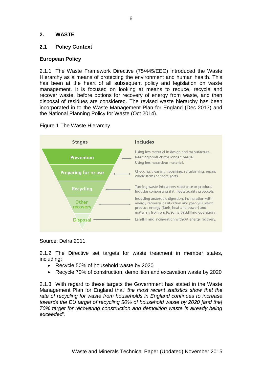#### **2. WASTE**

#### **2.1 Policy Context**

#### **European Policy**

2.1.1 The Waste Framework Directive (75/445/EEC) introduced the Waste Hierarchy as a means of protecting the environment and human health. This has been at the heart of all subsequent policy and legislation on waste management. It is focused on looking at means to reduce, recycle and recover waste, before options for recovery of energy from waste, and then disposal of residues are considered. The revised waste hierarchy has been incorporated in to the Waste Management Plan for England (Dec 2013) and the National Planning Policy for Waste (Oct 2014).



Figure 1 The Waste Hierarchy

Source: Defra 2011

2.1.2 The Directive set targets for waste treatment in member states, including;

- Recycle 50% of household waste by 2020
- Recycle 70% of construction, demolition and excavation waste by 2020

2.1.3 With regard to these targets the Government has stated in the Waste Management Plan for England that *'the most recent statistics show that the rate of recycling for waste from households in England continues to increase towards the EU target of recycling 50% of household waste by 2020 [and the] 70% target for recovering construction and demolition waste is already being exceeded'.*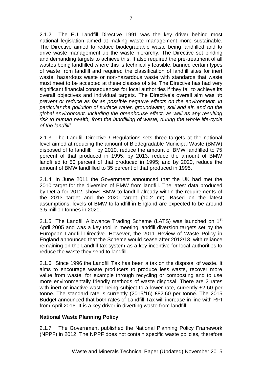2.1.2 The EU Landfill Directive 1991 was the key driver behind most national legislation aimed at making waste management more sustainable. The Directive aimed to reduce biodegradable waste being landfilled and to drive waste management up the waste hierarchy. The Directive set binding and demanding targets to achieve this. It also required the pre-treatment of all wastes being landfilled where this is technically feasible; banned certain types of waste from landfill and required the classification of landfill sites for inert waste, hazardous waste or non-hazardous waste with standards that waste must meet to be accepted at these classes of site. The Directive has had very significant financial consequences for local authorities if they fail to achieve its overall objectives and individual targets. The Directive's overall aim was *'to prevent or reduce as far as possible negative effects on the environment, in particular the pollution of surface water, groundwater, soil and air, and on the global environment, including the greenhouse effect, as well as any resulting risk to human health, from the landfilling of waste, during the whole life-cycle of the landfill'.* 

. 2.1.3 The Landfill Directive / Regulations sets three targets at the national level aimed at reducing the amount of Biodegradable Municipal Waste (BMW) disposed of to landfill: by 2010, reduce the amount of BMW landfilled to 75 percent of that produced in 1995; by 2013, reduce the amount of BMW landfilled to 50 percent of that produced in 1995; and by 2020, reduce the amount of BMW landfilled to 35 percent of that produced in 1995.

2.1.4 In June 2011 the Government announced that the UK had met the 2010 target for the diversion of BMW from landfill. The latest data produced by Defra for 2012, shows BMW to landfill already within the requirements of the 2013 target and the 2020 target (10.2 mt). Based on the latest assumptions, levels of BMW to landfill in England are expected to be around 3.5 million tonnes in 2020.

2.1.5 The Landfill Allowance Trading Scheme (LATS) was launched on 1<sup>st</sup> April 2005 and was a key tool in meeting landfill diversion targets set by the European Landfill Directive. However, the 2011 Review of Waste Policy in England announced that the Scheme would cease after 2012/13, with reliance remaining on the Landfill tax system as a key incentive for local authorities to reduce the waste they send to landfill.

2.1.6 Since 1996 the Landfill Tax has been a tax on the disposal of waste. It aims to encourage waste producers to produce less waste, recover more value from waste, for example through recycling or composting and to use more environmentally friendly methods of waste disposal. There are 2 rates with inert or inactive waste being subject to a lower rate, currently £2.60 per tonne. The standard rate is currently (2015/16) £82.60 per tonne. The 2015 Budget announced that both rates of Landfill Tax will increase in line with RPI from April 2016. It is a key driver in diverting waste from landfill.

#### **National Waste Planning Policy**

2.1.7 The Government published the National Planning Policy Framework (NPPF) in 2012. The NPPF does not contain specific waste policies, therefore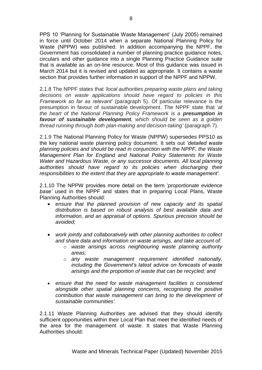PPS 10 'Planning for Sustainable Waste Management' (July 2005) remained in force until October 2014 when a separate National Planning Policy for Waste (NPPW) was published. In addition accompanying the NPPF, the Government has consolidated a number of planning practice guidance notes, circulars and other guidance into a single Planning Practice Guidance suite that is available as an on-line resource. Most of this guidance was issued in March 2014 but it is revised and updated as appropriate. It contains a waste section that provides further information in support of the NPPF and NPPW.

2.1.8 The NPPF states that *'local authorities preparing waste plans and taking decisions on waste applications should have regard to policies in this Framework so far as relevant'* (paragraph 5)*.* Of particular relevance is the presumption in favour of sustainable development. The NPPF state that '*at the heart of the National Planning Policy Framework is a presumption in favour of sustainable development, which should be seen as a golden thread running through both plan-making and decision-taking'* (paragraph 7).

2.1.9 The National Planning Policy for Waste (NPPW) supersedes PPS10 as the key national waste planning policy document. It sets out *'detailed waste planning policies and should be read in conjunction with the NPPF, the Waste Management Plan for England and National Policy Statements for Waste Water and Hazardous Waste, or any successor documents. All local planning authorities should have regard to its policies when discharging their responsibilities to the extent that they are appropriate to waste management'.*

2.1.10 The NPPW provides more detail on the term '*proportionate evidence base'* used in the NPPF and states that in preparing Local Plans, Waste Planning Authorities should:

- *ensure that the planned provision of new capacity and its spatial distribution is based on robust analysis of best available data and information, and an appraisal of options. Spurious precision should be avoided;*
- *work jointly and collaboratively with other planning authorities to collect and share data and information on waste arisings, and take account of:* 
	- o *waste arisings across neighbouring waste planning authority areas;*
	- o *any waste management requirement identified nationally, including the Government's latest advice on forecasts of waste arisings and the proportion of waste that can be recycled; and*
- *ensure that the need for waste management facilities is considered alongside other spatial planning concerns, recognising the positive contribution that waste management can bring to the development of sustainable communities'.*

2.1.11 Waste Planning Authorities are advised that they should identify sufficient opportunities within their Local Plan that meet the identified needs of the area for the management of waste. It states that Waste Planning Authorities should: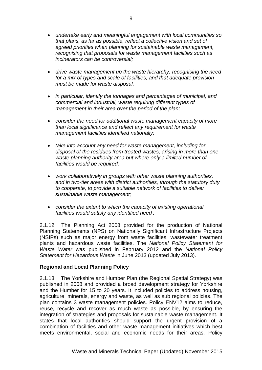- *undertake early and meaningful engagement with local communities so that plans, as far as possible, reflect a collective vision and set of agreed priorities when planning for sustainable waste management, recognising that proposals for waste management facilities such as incinerators can be controversial;*
- *drive waste management up the waste hierarchy, recognising the need for a mix of types and scale of facilities, and that adequate provision must be made for waste disposal;*
- *in particular, identify the tonnages and percentages of municipal, and commercial and industrial, waste requiring different types of management in their area over the period of the plan;*
- *consider the need for additional waste management capacity of more than local significance and reflect any requirement for waste management facilities identified nationally;*
- *take into account any need for waste management, including for disposal of the residues from treated wastes, arising in more than one waste planning authority area but where only a limited number of facilities would be required;*
- *work collaboratively in groups with other waste planning authorities, and in two-tier areas with district authorities, through the statutory duty to cooperate, to provide a suitable network of facilities to deliver sustainable waste management;*
- *consider the extent to which the capacity of existing operational facilities would satisfy any identified need'.*

2.1.12 The Planning Act 2008 provided for the production of National Planning Statements (NPS) on Nationally Significant Infrastructure Projects (NSIPs) such as major energy from waste facilities, wastewater treatment plants and hazardous waste facilities. The *National Policy Statement for Waste Water* was published in February 2012 and the *National Policy Statement for Hazardous Waste* in June 2013 (updated July 2013).

#### **Regional and Local Planning Policy**

2.1.13 The Yorkshire and Humber Plan (the Regional Spatial Strategy) was published in 2008 and provided a broad development strategy for Yorkshire and the Humber for 15 to 20 years. It included policies to address housing, agriculture, minerals, energy and waste, as well as sub regional policies. The plan contains 3 waste management policies. Policy ENV12 aims to reduce, reuse, recycle and recover as much waste as possible, by ensuring the integration of strategies and proposals for sustainable waste management. It states that local authorities should support the urgent provision of a combination of facilities and other waste management initiatives which best meets environmental, social and economic needs for their areas. Policy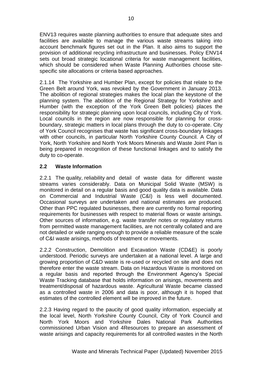ENV13 requires waste planning authorities to ensure that adequate sites and facilities are available to manage the various waste streams taking into account benchmark figures set out in the Plan. It also aims to support the provision of additional recycling infrastructure and businesses. Policy ENV14 sets out broad strategic locational criteria for waste management facilities, which should be considered when Waste Planning Authorities choose sitespecific site allocations or criteria based approaches.

2.1.14 The Yorkshire and Humber Plan, except for policies that relate to the Green Belt around York, was revoked by the Government in January 2013. The abolition of regional strategies makes the local plan the keystone of the planning system. The abolition of the Regional Strategy for Yorkshire and Humber (with the exception of the York Green Belt policies) places the responsibility for strategic planning upon local councils, including City of York. Local councils in the region are now responsible for planning for crossboundary, strategic matters in local plans through the duty to co-operate. City of York Council recognises that waste has significant cross-boundary linkages with other councils, in particular North Yorkshire County Council. A City of York, North Yorkshire and North York Moors Minerals and Waste Joint Plan is being prepared in recognition of these functional linkages and to satisfy the duty to co-operate.

#### **2.2 Waste Information**

2.2.1 The quality, reliability and detail of waste data for different waste streams varies considerably. Data on Municipal Solid Waste (MSW) is monitored in detail on a regular basis and good quality data is available. Data on Commercial and Industrial Waste (C&I) is less well documented. Occasional surveys are undertaken and national estimates are produced. Other than PPC regulated businesses, there are currently no formal reporting requirements for businesses with respect to material flows or waste arisings. Other sources of information, e.g. waste transfer notes or regulatory returns from permitted waste management facilities, are not centrally collated and are not detailed or wide ranging enough to provide a reliable measure of the scale of C&I waste arisings, methods of treatment or movements.

2.2.2 Construction, Demolition and Excavation Waste (CD&E) is poorly understood. Periodic surveys are undertaken at a national level. A large and growing proportion of C&D waste is re-used or recycled on site and does not therefore enter the waste stream. Data on Hazardous Waste is monitored on a regular basis and reported through the Environment Agency's Special Waste Tracking database that holds information on arisings, movements and treatment/disposal of hazardous waste. Agricultural Waste became classed as a controlled waste in 2006 and data is poor, although it is hoped that estimates of the controlled element will be improved in the future.

2.2.3 Having regard to the paucity of good quality information, especially at the local level, North Yorkshire County Council, City of York Council and North York Moors and Yorkshire Dales National Park Authorities commissioned Urban Vision and 4Resources to prepare an assessment of waste arisings and capacity requirements for all controlled wastes in the North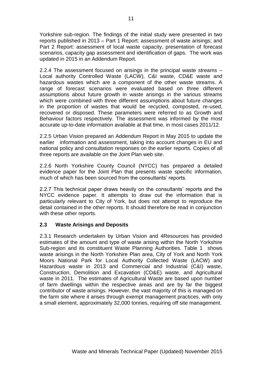Yorkshire sub-region. The findings of the initial study were presented in two reports published in 2013 – Part 1 Report: assessment of waste arisings; and Part 2 Report: assessment of local waste capacity, presentation of forecast scenarios, capacity gap assessment and identification of gaps. The work was updated in 2015 in an Addendum Report.

2.2.4 The assessment focused on arisings in the principal waste streams – Local authority Controlled Waste (LACW), C&I waste, CD&E waste and hazardous wastes which are a component of the other waste streams. A range of forecast scenarios were evaluated based on three different assumptions about future growth in waste arisings in the various streams which were combined with three different assumptions about future changes in the proportion of wastes that would be recycled, composted, re-used, recovered or disposed. These parameters were referred to as Growth and Behaviour factors respectively. The assessment was informed by the most accurate up-to-date information available at that time, in most cases 2011/12.

2.2.5 Urban Vision prepared an Addendum Report in May 2015 to update the earlier information and assessment, taking into account changes in EU and national policy and consultation responses on the earlier reports. Copies of all three reports are available on the Joint Plan web site.

2.2.6 North Yorkshire County Council (NYCC) has prepared a detailed evidence paper for the Joint Plan that presents waste specific information, much of which has been sourced from the consultants' reports.

2.2.7 This technical paper draws heavily on the consultants' reports and the NYCC evidence paper. It attempts to draw out the information that is particularly relevant to City of York, but does not attempt to reproduce the detail contained in the other reports. It should therefore be read in conjunction with these other reports.

#### **2.3 Waste Arisings and Deposits**

2.3.1 Research undertaken by Urban Vision and 4Resources has provided estimates of the amount and type of waste arising within the North Yorkshire Sub-region and its constituent Waste Planning Authorities. Table 1 shows waste arisings in the North Yorkshire Plan area, City of York and North York Moors National Park for Local Authority Collected Waste (LACW) and Hazardous waste in 2013 and Commercial and Industrial (C&I) waste, Construction, Demolition and Excavation (CD&E) waste, and Agricultural waste in 2011. The estimates of Agricultural Waste are based upon number of farm dwellings within the respective areas and are by far the biggest contributor of waste arisings. However, the vast majority of this is managed on the farm site where it arises through exempt management practices, with only a small element, approximately 32,000 tonnes, requiring off site management.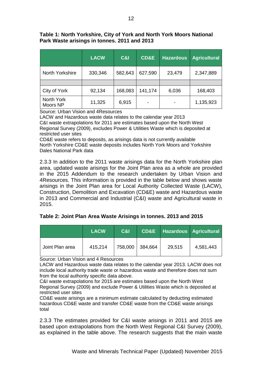#### **Table 1: North Yorkshire, City of York and North York Moors National Park Waste arisings in tonnes. 2011 and 2013**

|                        | <b>LACW</b> | <b>C&amp;I</b> | <b>CD&amp;E</b> | <b>Hazardous</b> | <b>Agricultural</b> |
|------------------------|-------------|----------------|-----------------|------------------|---------------------|
| North Yorkshire        | 330,346     | 582,643        | 627,590         | 23,479           | 2,347,889           |
|                        |             |                |                 |                  |                     |
| City of York           | 92,134      | 168,083        | 141,174         | 6,036            | 168,403             |
| North York<br>Moors NP | 11,325      | 6,915          | -               |                  | 1,135,923           |

Source: Urban Vision and 4Resources

LACW and Hazardous waste data relates to the calendar year 2013 C&I waste extrapolations for 2011 are estimates based upon the North West Regional Survey (2009), excludes Power & Utilities Waste which is deposited at restricted user sites

CD&E waste refers to deposits, as arisings data is not currently available North Yorkshire CD&E waste deposits includes North York Moors and Yorkshire Dales National Park data

2.3.3 In addition to the 2011 waste arisings data for the North Yorkshire plan area, updated waste arisings for the Joint Plan area as a whole are provided in the 2015 Addendum to the research undertaken by Urban Vision and 4Resources. This information is provided in the table below and shows waste arisings in the Joint Plan area for Local Authority Collected Waste (LACW), Construction, Demolition and Excavation (CD&E) waste and Hazardous waste in 2013 and Commercial and Industrial (C&I) waste and Agricultural waste in 2015.

#### **Table 2: Joint Plan Area Waste Arisings in tonnes. 2013 and 2015**

|                 | <b>LACW</b> | <b>C&amp;I</b> |         |        | <b>CD&amp;E</b> Hazardous Agricultural |
|-----------------|-------------|----------------|---------|--------|----------------------------------------|
| Joint Plan area | 415,214     | 758,000        | 384,664 | 29,515 | 4,581,443                              |

Source: Urban Vision and 4 Resources

LACW and Hazardous waste data relates to the calendar year 2013. LACW does not include local authority trade waste or hazardous waste and therefore does not sum from the local authority specific data above.

C&I waste extrapolations for 2015 are estimates based upon the North West Regional Survey (2009) and exclude Power & Utilities Waste which is deposited at restricted user sites

CD&E waste arisings are a minimum estimate calculated by deducting estimated hazardous CD&E waste and transfer CD&E waste from the CD&E waste arisings total

2.3.3 The estimates provided for C&I waste arisings in 2011 and 2015 are based upon extrapolations from the North West Regional C&I Survey (2009), as explained in the table above. The research suggests that the main waste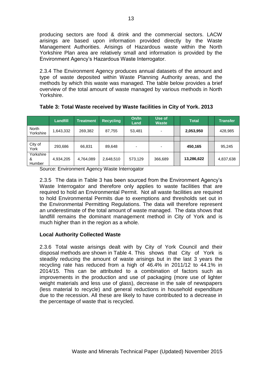producing sectors are food & drink and the commercial sectors. LACW arisings are based upon information provided directly by the Waste Management Authorities. Arisings of Hazardous waste within the North Yorkshire Plan area are relatively small and information is provided by the Environment Agency's Hazardous Waste Interrogator.

2.3.4 The Environment Agency produces annual datasets of the amount and type of waste deposited within Waste Planning Authority areas, and the methods by which this waste was managed. The table below provides a brief overview of the total amount of waste managed by various methods in North Yorkshire.

|                          | Landfill  | Treatment | <b>Recycling</b> | On/In<br>Land | Use of<br><b>Waste</b> | <b>Total</b> | <b>Transfer</b> |
|--------------------------|-----------|-----------|------------------|---------------|------------------------|--------------|-----------------|
| North<br>Yorkshire       | 1,643,332 | 269,382   | 87,755           | 53,481        | -                      | 2,053,950    | 428,985         |
|                          |           |           |                  |               |                        |              |                 |
| City of<br>York          | 293,686   | 66,831    | 89,648           | ٠             | -                      | 450,165      | 95,245          |
| Yorkshire<br>&<br>Humber | 4,934,205 | 4,764,089 | 2,648,510        | 573,129       | 366,689                | 13,286,622   | 4,837,638       |

**Table 3: Total Waste received by Waste facilities in City of York. 2013** 

Source: Environment Agency Waste Interrogator

2.3.5 The data in Table 3 has been sourced from the Environment Agency's Waste Interrogator and therefore only applies to waste facilities that are required to hold an Environmental Permit. Not all waste facilities are required to hold Environmental Permits due to exemptions and thresholds set out in the Environmental Permitting Regulations. The data will therefore represent an underestimate of the total amount of waste managed. The data shows that landfill remains the dominant management method in City of York and is much higher than in the region as a whole.

#### **Local Authority Collected Waste**

2.3.6 Total waste arisings dealt with by City of York Council and their disposal methods are shown in Table 4. This shows that City of York is steadily reducing the amount of waste arisings but in the last 3 years the recycling rate has reduced from a high of 46.4% in 2011/12 to 44.1% in 2014/15. This can be attributed to a combination of factors such as improvements in the production and use of packaging (more use of lighter weight materials and less use of glass), decrease in the sale of newspapers (less material to recycle) and general reductions in household expenditure due to the recession. All these are likely to have contributed to a decrease in the percentage of waste that is recycled.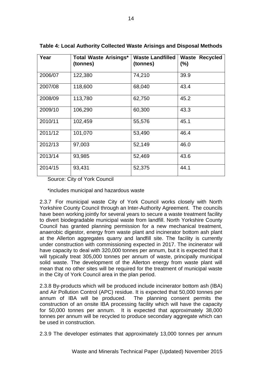| Year    | <b>Total Waste Arisings*</b><br>(tonnes) | <b>Waste Landfilled</b><br>(tonnes) | <b>Waste Recycled</b><br>$(\%)$ |
|---------|------------------------------------------|-------------------------------------|---------------------------------|
| 2006/07 | 122,380                                  | 74,210                              | 39.9                            |
| 2007/08 | 118,600                                  | 68,040                              | 43.4                            |
| 2008/09 | 113,780                                  | 62,750                              | 45.2                            |
| 2009/10 | 106,290                                  | 60,300                              | 43.3                            |
| 2010/11 | 102,459                                  | 55,576                              | 45.1                            |
| 2011/12 | 101,070                                  | 53,490                              | 46.4                            |
| 2012/13 | 97,003                                   | 52,149                              | 46.0                            |
| 2013/14 | 93,985                                   | 52,469                              | 43.6                            |
| 2014/15 | 93,431                                   | 52,375                              | 44.1                            |

**Table 4: Local Authority Collected Waste Arisings and Disposal Methods**

Source: City of York Council

\*includes municipal and hazardous waste

2.3.7 For municipal waste City of York Council works closely with North Yorkshire County Council through an Inter-Authority Agreement. The councils have been working jointly for several years to secure a waste treatment facility to divert biodegradable municipal waste from landfill. North Yorkshire County Council has granted planning permission for a new mechanical treatment, anaerobic digestor, energy from waste plant and incinerator bottom ash plant at the Allerton aggregates quarry and landfill site. The facility is currently under construction with commissioning expected in 2017. The incinerator will have capacity to deal with 320,000 tonnes per annum, but it is expected that it will typically treat 305,000 tonnes per annum of waste, principally municipal solid waste. The development of the Allerton energy from waste plant will mean that no other sites will be required for the treatment of municipal waste in the City of York Council area in the plan period.

2.3.8 By-products which will be produced include incinerator bottom ash (IBA) and Air Pollution Control (APC) residue. It is expected that 50,000 tonnes per annum of IBA will be produced. The planning consent permits the construction of an onsite IBA processing facility which will have the capacity for 50,000 tonnes per annum. It is expected that approximately 38,000 tonnes per annum will be recycled to produce secondary aggregate which can be used in construction.

2.3.9 The developer estimates that approximately 13,000 tonnes per annum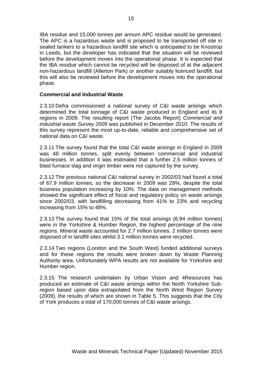IBA residue and 15,000 tonnes per annum APC residue would be generated. The APC is a hazardous waste and is proposed to be transported off site in sealed tankers to a hazardous landfill site which is anticipated to be Knostrop in Leeds, but the developer has indicated that the situation will be reviewed before the development moves into the operational phase. It is expected that the IBA residue which cannot be recycled will be disposed of at the adjacent non-hazardous landfill (Allerton Park) or another suitably licenced landfill, but this will also be reviewed before the development moves into the operational phase.

#### **Commercial and Industrial Waste**

2.3.10 Defra commissioned a national survey of C&I waste arisings which determined the total tonnage of C&I waste produced in England and its 8 regions in 2009. The resulting report (The Jacobs Report) *Commercial and industrial waste Survey 2009* was published in December 2010. The results of this survey represent the most up-to-date, reliable and comprehensive set of national data on C&I waste.

2.3.11 The survey found that the total C&I waste arisings in England in 2009 was 48 million tonnes, split evenly between commercial and industrial businesses. In addition it was estimated that a further 2.5 million tonnes of blast furnace slag and virgin timber were not captured by the survey.

2.3.12 The previous national C&I national survey in 2002/03 had found a total of 67.9 million tonnes, so the decrease in 2009 was 29%, despite the total business population increasing by 10%. The data on management methods showed the significant effect of fiscal and regulatory policy on waste arisings since 2002/03, with landfilling decreasing from 41% to 23% and recycling increasing from 15% to 48%.

2.3.13 The survey found that 15% of the total arisings (6.94 million tonnes) were in the Yorkshire & Humber Region, the highest percentage of the nine regions. Mineral waste accounted for 2.7 million tonnes. 2 million tonnes were disposed of in landfill sites whilst 3.1 million tonnes were recycled.

2.3.14 Two regions (London and the South West) funded additional surveys and for these regions the results were broken down by Waste Planning Authority area. Unfortunately WPA results are not available for Yorkshire and Humber region.

2.3.15 The research undertaken by Urban Vision and 4Resources has produced an estimate of C&I waste arisings within the North Yorkshire Subregion based upon data extrapolated from the North West Region Survey (2009), the results of which are shown in Table 5. This suggests that the City of York produces a total of 170,000 tonnes of C&I waste arisings.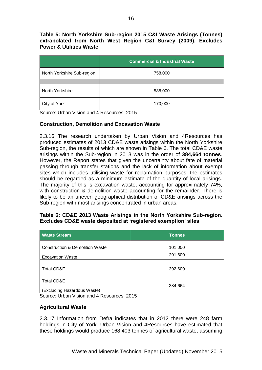#### **Table 5: North Yorkshire Sub-region 2015 C&I Waste Arisings (Tonnes) extrapolated from North West Region C&I Survey (2009). Excludes Power & Utilities Waste**

|                            | <b>Commercial &amp; Industrial Waste</b> |
|----------------------------|------------------------------------------|
| North Yorkshire Sub-region | 758,000                                  |
|                            |                                          |
| North Yorkshire            | 588,000                                  |
| City of York               | 170,000                                  |

Source: Urban Vision and 4 Resources. 2015

#### **Construction, Demolition and Excavation Waste**

2.3.16 The research undertaken by Urban Vision and 4Resources has produced estimates of 2013 CD&E waste arisings within the North Yorkshire Sub-region, the results of which are shown in Table 6. The total CD&E waste arisings within the Sub-region in 2013 was in the order of **384,664 tonnes**. However, the Report states that given the uncertainty about fate of material passing through transfer stations and the lack of information about exempt sites which includes utilising waste for reclamation purposes, the estimates should be regarded as a minimum estimate of the quantity of local arisings. The majority of this is excavation waste, accounting for approximately 74%, with construction & demolition waste accounting for the remainder. There is likely to be an uneven geographical distribution of CD&E arisings across the Sub-region with most arisings concentrated in urban areas.

#### **Table 6: CD&E 2013 Waste Arisings in the North Yorkshire Sub-region. Excludes CD&E waste deposited at 'registered exemption' sites**

| <b>Tonnes</b> |
|---------------|
| 101,000       |
| 291,600       |
| 392,600       |
| 384,664       |
| -- - - -      |

Source: Urban Vision and 4 Resources. 2015

#### **Agricultural Waste**

2.3.17 Information from Defra indicates that in 2012 there were 248 farm holdings in City of York. Urban Vision and 4Resources have estimated that these holdings would produce 168,403 tonnes of agricultural waste, assuming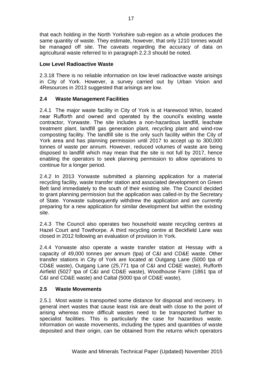that each holding in the North Yorkshire sub-region as a whole produces the same quantity of waste. They estimate, however, that only 1210 tonnes would be managed off site. The caveats regarding the accuracy of data on agricultural waste referred to in paragraph 2.2.3 should be noted.

#### **Low Level Radioactive Waste**

2.3.18 There is no reliable information on low level radioactive waste arisings in City of York. However, a survey carried out by Urban Vision and 4Resources in 2013 suggested that arisings are low.

#### **2.4 Waste Management Facilities**

2.4.1 The major waste facility in City of York is at Harewood Whin, located near Rufforth and owned and operated by the council's existing waste contractor, Yorwaste. The site includes a non-hazardous landfill, leachate treatment plant, landfill gas generation plant, recycling plant and wind-row composting facility. The landfill site is the only such facility within the City of York area and has planning permission until 2017 to accept up to 300,000 tonnes of waste per annum. However, reduced volumes of waste are being disposed to landfill which may mean that the site is not full by 2017, hence enabling the operators to seek planning permission to allow operations to continue for a longer period.

2.4.2 In 2013 Yorwaste submitted a planning application for a material recycling facility, waste transfer station and associated development on Green Belt land immediately to the south of their existing site. The Council decided to grant planning permission but the application was called-in by the Secretary of State. Yorwaste subsequently withdrew the application and are currently preparing for a new application for similar development but within the existing site.

2.4.3 The Council also operates two household waste recycling centres at Hazel Court and Towthorpe. A third recycling centre at Beckfield Lane was closed in 2012 following an evaluation of provision in York.

2.4.4 Yorwaste also operate a waste transfer station at Hessay with a capacity of 49,000 tonnes per annum (tpa) of C&I and CD&E waste. Other transfer stations in City of York are located at Outgang Lane (5000 tpa of CD&E waste), Outgang Lane (25,771 tpa of C&I and CD&E waste), Rufforth Airfield (5027 tpa of C&I and CD&E waste), Woodhouse Farm (1861 tpa of C&I and CD&E waste) and Caltal (5000 tpa of CD&E waste).

#### **2.5 Waste Movements**

2.5.1 Most waste is transported some distance for disposal and recovery. In general inert wastes that cause least risk are dealt with close to the point of arising whereas more difficult wastes need to be transported further to specialist facilities. This is particularly the case for hazardous waste. Information on waste movements, including the types and quantities of waste deposited and their origin, can be obtained from the returns which operators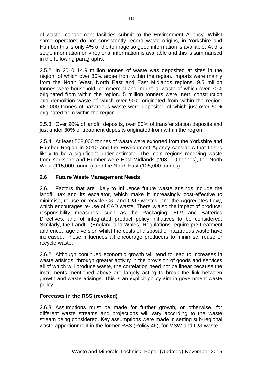of waste management facilities submit to the Environment Agency. Whilst some operators do not consistently record waste origins, in Yorkshire and Humber this is only 4% of the tonnage so good information is available. At this stage information only regional information is available and this is summarised in the following paragraphs.

2.5.2 In 2010 14.9 million tonnes of waste was deposited at sites in the region, of which over 80% arose from within the region. Imports were mainly from the North West, North East and East Midlands regions. 9.5 million tonnes were household, commercial and industrial waste of which over 70% originated from within the region. 5 million tonners were inert, construction and demolition waste of which over 90% originated from within the region. 460,000 tonnes of hazardous waste were deposited of which just over 50% originated from within the region.

2.5.3 Over 90% of landfill deposits, over 80% of transfer station deposits and just under 80% of treatment deposits originated from within the region.

2.5.4 At least 508,000 tonnes of waste were exported from the Yorkshire and Humber Region in 2010 and the Environment Agency considers that this is likely to be a significant under-estimate. The main regions receiving waste from Yorkshire and Humber were East Midlands (208,000 tonnes), the North West (115,000 tonnes) and the North East (108,000 tonnes).

#### **2.6 Future Waste Management Needs**

2.6.1 Factors that are likely to influence future waste arisings include the landfill tax and its escalator, which make it increasingly cost-effective to minimise, re-use or recycle C&I and C&D wastes, and the Aggregates Levy, which encourages re-use of C&D waste. There is also the impact of producer responsibility measures, such as the Packaging, ELV and Batteries Directives, and of integrated product policy initiatives to be considered. Similarly, the Landfill (England and Wales) Regulations require pre-treatment and encourage diversion whilst the costs of disposal of hazardous waste have increased. These influences all encourage producers to minimise, reuse or recycle waste.

2.6.2 Although continued economic growth will tend to lead to increases in waste arisings, through greater activity in the provision of goods and services all of which will produce waste, the correlation need not be linear because the instruments mentioned above are largely acting to break the link between growth and waste arisings. This is an explicit policy aim in government waste policy.

#### **Forecasts in the RSS (revoked)**

2.6.3 Assumptions must be made for further growth, or otherwise, for different waste streams and projections will vary according to the waste stream being considered. Key assumptions were made in setting sub-regional waste apportionment in the former RSS (Policy 46), for MSW and C&I waste.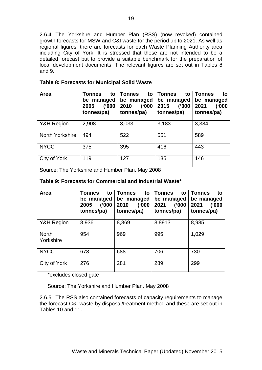2.6.4 The Yorkshire and Humber Plan (RSS) (now revoked) contained growth forecasts for MSW and C&I waste for the period up to 2021. As well as regional figures, there are forecasts for each Waste Planning Authority area including City of York. It is stressed that these are not intended to be a detailed forecast but to provide a suitable benchmark for the preparation of local development documents. The relevant figures are set out in Tables 8 and 9.

| Area            | <b>Tonnes</b><br>to<br>be managed<br>(1000)<br>2005<br>tonnes/pa) | <b>Tonnes</b><br>to<br>be managed<br>('000<br>2010<br>tonnes/pa) | <b>Tonnes</b><br>to<br>be managed<br>(1000)<br>2015<br>tonnes/pa) | <b>Tonnes</b><br>to<br>be managed<br>(1000)<br>2021<br>tonnes/pa) |
|-----------------|-------------------------------------------------------------------|------------------------------------------------------------------|-------------------------------------------------------------------|-------------------------------------------------------------------|
| Y&H Region      | 2,908                                                             | 3,033                                                            | 3,183                                                             | 3,384                                                             |
| North Yorkshire | 494                                                               | 522                                                              | 551                                                               | 589                                                               |
| <b>NYCC</b>     | 375                                                               | 395                                                              | 416                                                               | 443                                                               |
| City of York    | 119                                                               | 127                                                              | 135                                                               | 146                                                               |

Source: The Yorkshire and Humber Plan. May 2008

#### **Table 9: Forecasts for Commercial and Industrial Waste\***

| Area                      | <b>Tonnes</b><br>to<br>be managed<br>(1000)<br>2005<br>tonnes/pa) | <b>Tonnes</b><br>to<br>be managed<br>(1000)<br>2010<br>tonnes/pa) | <b>Tonnes</b><br>to<br>be managed<br>(1000)<br>2021<br>tonnes/pa) | <b>Tonnes</b><br>to<br>be managed<br>(1000)<br>2021<br>tonnes/pa) |
|---------------------------|-------------------------------------------------------------------|-------------------------------------------------------------------|-------------------------------------------------------------------|-------------------------------------------------------------------|
| Y&H Region                | 8,936                                                             | 8,869                                                             | 8,8913                                                            | 8,985                                                             |
| <b>North</b><br>Yorkshire | 954                                                               | 969                                                               | 995                                                               | 1,029                                                             |
| <b>NYCC</b>               | 678                                                               | 688                                                               | 706                                                               | 730                                                               |
| City of York              | 276                                                               | 281                                                               | 289                                                               | 299                                                               |

\*excludes closed gate

Source: The Yorkshire and Humber Plan. May 2008

2.6.5 The RSS also contained forecasts of capacity requirements to manage the forecast C&I waste by disposal/treatment method and these are set out in Tables 10 and 11.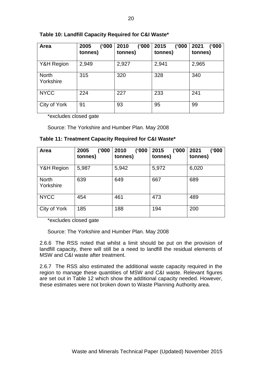#### **Table 10: Landfill Capacity Required for C&I Waste\***

| Area                      | 2005<br>(1000)<br>tonnes) | ('000<br>2010<br>tonnes) | ('000<br>2015<br>tonnes) | (1000)<br>2021<br>tonnes) |
|---------------------------|---------------------------|--------------------------|--------------------------|---------------------------|
| Y&H Region                | 2,949                     | 2,927                    | 2,941                    | 2,965                     |
| <b>North</b><br>Yorkshire | 315                       | 320                      | 328                      | 340                       |
| <b>NYCC</b>               | 224                       | 227                      | 233                      | 241                       |
| City of York              | 91                        | 93                       | 95                       | 99                        |

\*excludes closed gate

Source: The Yorkshire and Humber Plan. May 2008

#### **Table 11: Treatment Capacity Required for C&I Waste\***

| Area                      | ('000<br>2005<br>tonnes) | (1000)<br>2010<br>tonnes) | ('000<br>2015<br>tonnes) | 2021<br>('000<br>tonnes) |
|---------------------------|--------------------------|---------------------------|--------------------------|--------------------------|
| Y&H Region                | 5,987                    | 5,942                     | 5,972                    | 6,020                    |
| <b>North</b><br>Yorkshire | 639                      | 649                       | 667                      | 689                      |
| <b>NYCC</b>               | 454                      | 461                       | 473                      | 489                      |
| City of York              | 185                      | 188                       | 194                      | 200                      |

\*excludes closed gate

Source: The Yorkshire and Humber Plan. May 2008

2.6.6 The RSS noted that whilst a limit should be put on the provision of landfill capacity, there will still be a need to landfill the residual elements of MSW and C&I waste after treatment.

2.6.7 The RSS also estimated the additional waste capacity required in the region to manage these quantities of MSW and C&I waste. Relevant figures are set out in Table 12 which show the additional capacity needed. However, these estimates were not broken down to Waste Planning Authority area.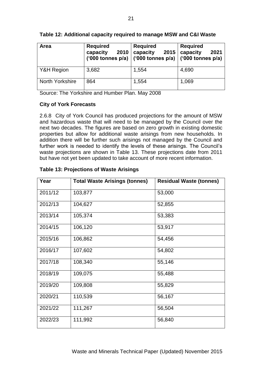| Area                   | <b>Required</b><br>capacity<br>2010<br>('000 tonnes p/a) | <b>Required</b><br>capacity<br>2015<br>$\left  \right $ ('000 tonnes p/a) $\left  \right $ ('000 tonnes p/a) | <b>Required</b><br>capacity<br>2021 |
|------------------------|----------------------------------------------------------|--------------------------------------------------------------------------------------------------------------|-------------------------------------|
| Y&H Region             | 3,682                                                    | 1,554                                                                                                        | 4,690                               |
| <b>North Yorkshire</b> | 864                                                      | 1,554                                                                                                        | 1,069                               |

#### **Table 12: Additional capacity required to manage MSW and C&I Waste**

Source: The Yorkshire and Humber Plan. May 2008

#### **City of York Forecasts**

2.6.8 City of York Council has produced projections for the amount of MSW and hazardous waste that will need to be managed by the Council over the next two decades. The figures are based on zero growth in existing domestic properties but allow for additional waste arisings from new households. In addition there will be further such arisings not managed by the Council and further work is needed to identify the levels of these arisings. The Council's waste projections are shown in Table 13. These projections date from 2011 but have not yet been updated to take account of more recent information.

| Year    | <b>Total Waste Arisings (tonnes)</b> | <b>Residual Waste (tonnes)</b> |
|---------|--------------------------------------|--------------------------------|
| 2011/12 | 103,877                              | 53,000                         |
| 2012/13 | 104,627                              | 52,855                         |
| 2013/14 | 105,374                              | 53,383                         |
| 2014/15 | 106,120                              | 53,917                         |
| 2015/16 | 106,862                              | 54,456                         |
| 2016/17 | 107,602                              | 54,802                         |
| 2017/18 | 108,340                              | 55,146                         |
| 2018/19 | 109,075                              | 55,488                         |
| 2019/20 | 109,808                              | 55,829                         |
| 2020/21 | 110,539                              | 56,167                         |
| 2021/22 | 111,267                              | 56,504                         |
| 2022/23 | 111,992                              | 56,840                         |

#### **Table 13: Projections of Waste Arisings**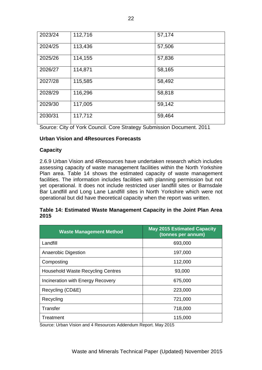| 2023/24 | 112,716 | 57,174 |
|---------|---------|--------|
| 2024/25 | 113,436 | 57,506 |
| 2025/26 | 114,155 | 57,836 |
| 2026/27 | 114,871 | 58,165 |
| 2027/28 | 115,585 | 58,492 |
| 2028/29 | 116,296 | 58,818 |
| 2029/30 | 117,005 | 59,142 |
| 2030/31 | 117,712 | 59,464 |

Source: City of York Council. Core Strategy Submission Document. 2011

#### **Urban Vision and 4Resources Forecasts**

#### **Capacity**

2.6.9 Urban Vision and 4Resources have undertaken research which includes assessing capacity of waste management facilities within the North Yorkshire Plan area. Table 14 shows the estimated capacity of waste management facilities. The information includes facilities with planning permission but not yet operational. It does not include restricted user landfill sites or Barnsdale Bar Landfill and Long Lane Landfill sites in North Yorkshire which were not operational but did have theoretical capacity when the report was written.

#### **Table 14: Estimated Waste Management Capacity in the Joint Plan Area 2015**

| <b>Waste Management Method</b>           | <b>May 2015 Estimated Capacity</b><br>(tonnes per annum) |
|------------------------------------------|----------------------------------------------------------|
| Landfill                                 | 693,000                                                  |
| Anaerobic Digestion                      | 197,000                                                  |
| Composting                               | 112,000                                                  |
| <b>Household Waste Recycling Centres</b> | 93,000                                                   |
| Incineration with Energy Recovery        | 675,000                                                  |
| Recycling (CD&E)                         | 223,000                                                  |
| Recycling                                | 721,000                                                  |
| Transfer                                 | 718,000                                                  |
| Treatment                                | 115,000                                                  |

Source: Urban Vision and 4 Resources Addendum Report. May 2015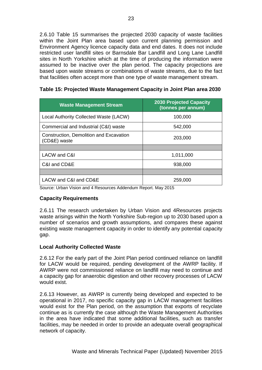2.6.10 Table 15 summarises the projected 2030 capacity of waste facilities within the Joint Plan area based upon current planning permission and Environment Agency licence capacity data and end dates. It does not include restricted user landfill sites or Barnsdale Bar Landfill and Long Lane Landfill sites in North Yorkshire which at the time of producing the information were assumed to be inactive over the plan period. The capacity projections are based upon waste streams or combinations of waste streams, due to the fact that facilities often accept more than one type of waste management stream.

| <b>Waste Management Stream</b>                          | <b>2030 Projected Capacity</b><br>(tonnes per annum) |
|---------------------------------------------------------|------------------------------------------------------|
| Local Authority Collected Waste (LACW)                  | 100,000                                              |
| Commercial and Industrial (C&I) waste                   | 542,000                                              |
| Construction, Demolition and Excavation<br>(CD&E) waste | 203,000                                              |
|                                                         |                                                      |
| LACW and C&I                                            | 1,011,000                                            |
| C&I and CD&E                                            | 938,000                                              |
|                                                         |                                                      |
| LACW and C&I and CD&E                                   | 259,000                                              |

#### **Table 15: Projected Waste Management Capacity in Joint Plan area 2030**

Source: Urban Vision and 4 Resources Addendum Report. May 2015

#### **Capacity Requirements**

2.6.11 The research undertaken by Urban Vision and 4Resources projects waste arisings within the North Yorkshire Sub-region up to 2030 based upon a number of scenarios and growth assumptions, and compares these against existing waste management capacity in order to identify any potential capacity gap.

#### **Local Authority Collected Waste**

2.6.12 For the early part of the Joint Plan period continued reliance on landfill for LACW would be required, pending development of the AWRP facility. If AWRP were not commissioned reliance on landfill may need to continue and a capacity gap for anaerobic digestion and other recovery processes of LACW would exist.

2.6.13 However, as AWRP is currently being developed and expected to be operational in 2017, no specific capacity gap in LACW management facilities would exist for the Plan period, on the assumption that exports of recyclate continue as is currently the case although the Waste Management Authorities in the area have indicated that some additional facilities, such as transfer facilities, may be needed in order to provide an adequate overall geographical network of capacity.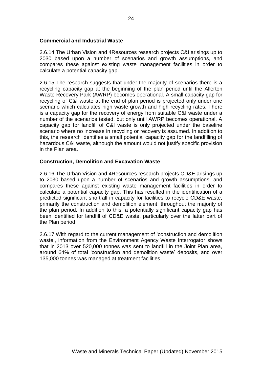#### **Commercial and Industrial Waste**

2.6.14 The Urban Vision and 4Resources research projects C&I arisings up to 2030 based upon a number of scenarios and growth assumptions, and compares these against existing waste management facilities in order to calculate a potential capacity gap.

2.6.15 The research suggests that under the majority of scenarios there is a recycling capacity gap at the beginning of the plan period until the Allerton Waste Recovery Park (AWRP) becomes operational. A small capacity gap for recycling of C&I waste at the end of plan period is projected only under one scenario which calculates high waste growth and high recycling rates. There is a capacity gap for the recovery of energy from suitable C&I waste under a number of the scenarios tested, but only until AWRP becomes operational. A capacity gap for landfill of C&I waste is only projected under the baseline scenario where no increase in recycling or recovery is assumed. In addition to this, the research identifies a small potential capacity gap for the landfilling of hazardous C&I waste, although the amount would not justify specific provision in the Plan area.

#### **Construction, Demolition and Excavation Waste**

2.6.16 The Urban Vision and 4Resources research projects CD&E arisings up to 2030 based upon a number of scenarios and growth assumptions, and compares these against existing waste management facilities in order to calculate a potential capacity gap. This has resulted in the identification of a predicted significant shortfall in capacity for facilities to recycle CD&E waste, primarily the construction and demolition element, throughout the majority of the plan period. In addition to this, a potentially significant capacity gap has been identified for landfill of CD&E waste, particularly over the latter part of the Plan period.

2.6.17 With regard to the current management of 'construction and demolition waste', information from the Environment Agency Waste Interrogator shows that in 2013 over 520,000 tonnes was sent to landfill in the Joint Plan area, around 64% of total 'construction and demolition waste' deposits, and over 135,000 tonnes was managed at treatment facilities.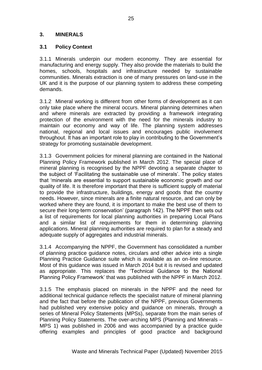#### **3. MINERALS**

#### **3.1 Policy Context**

3.1.1 Minerals underpin our modern economy. They are essential for manufacturing and energy supply. They also provide the materials to build the homes, schools, hospitals and infrastructure needed by sustainable communities. Minerals extraction is one of many pressures on land-use in the UK and it is the purpose of our planning system to address these competing demands.

3.1.2 Mineral working is different from other forms of development as it can only take place where the mineral occurs. Mineral planning determines when and where minerals are extracted by providing a framework integrating protection of the environment with the need for the minerals industry to maintain our economy and way of life. The planning system addresses national, regional and local issues and encourages public involvement throughout. It has an important role to play in contributing to the Government's strategy for promoting sustainable development.

3.1.3 Government policies for mineral planning are contained in the National Planning Policy Framework published in March 2012. The special place of mineral planning is recognised by the NPPF devoting a separate chapter to the subject of 'Facilitating the sustainable use of minerals'. The policy states that 'minerals are essential to support sustainable economic growth and our quality of life. It is therefore important that there is sufficient supply of material to provide the infrastructure, buildings, energy and goods that the country needs. However, since minerals are a finite natural resource, and can only be worked where they are found, it is important to make the best use of them to secure their long-term conservation' (paragraph 142). The NPPF then sets out a list of requirements for local planning authorities in preparing Local Plans and a similar list of requirements for them in determining planning applications. Mineral planning authorities are required to plan for a steady and adequate supply of aggregates and industrial minerals.

3.1.4 Accompanying the NPPF, the Government has consolidated a number of planning practice guidance notes, circulars and other advice into a single Planning Practice Guidance suite which is available as an on-line resource. Most of this guidance was issued in March 2014 but it is revised and updated as appropriate. This replaces the 'Technical Guidance to the National Planning Policy Framework' that was published with the NPPF in March 2012.

3.1.5 The emphasis placed on minerals in the NPPF and the need for additional technical guidance reflects the specialist nature of mineral planning and the fact that before the publication of the NPPF, previous Governments had published very extensive policy and guidance on minerals, through a series of Mineral Policy Statements (MPSs), separate from the main series of Planning Policy Statements. The over-arching MPS (Planning and Minerals – MPS 1) was published in 2006 and was accompanied by a practice guide offering examples and principles of good practice and background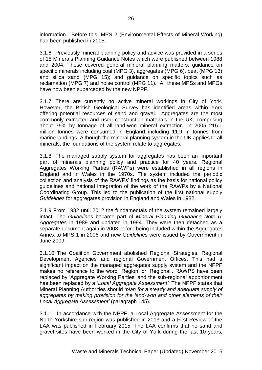information. Before this, MPS 2 (Environmental Effects of Mineral Working) had been published in 2005.

3.1.6 Previously mineral planning policy and advice was provided in a series of 15 Minerals Planning Guidance Notes which were published between 1988 and 2004. These covered general mineral planning matters; guidance on specific minerals including coal (MPG 3), aggregates (MPG 6), peat (MPG 13) and silica sand (MPG 15); and guidance on specific topics such as reclamation (MPG 7) and noise control (MPG 11). All these MPSs and MPGs have now been superceded by the new NPPF.

3.1.7 There are currently no active mineral workings in City of York. However, the British Geological Survey has identified areas within York offering potential resources of sand and gravel. Aggregates are the most commonly extracted and used construction materials in the UK, comprising about 75% by tonnage of all land-won mineral extraction. In 2005 216.1 million tonnes were consumed in England including 11.9 m tonnes from marine landings. Although the mineral planning system in the UK applies to all minerals, the foundations of the system relate to aggregates.

3.1.8 The managed supply system for aggregates has been an important part of minerals planning policy and practice for 40 years. Regional Aggregates Working Parties (RAWPs) were established in all regions in England and in Wales in the 1970s. The system included the periodic collection and analysis of the RAWPs' findings as the basis for national policy guidelines and national integration of the work of the RAWPs by a National Coordinating Group. This led to the publication of the first national supply *Guidelines* for aggregates provision in England and Wales in 1982.

3.1.9 From 1982 until 2012 the fundamentals of the system remained largely intact. The *Guidelines* became part of *Mineral Planning Guidance Note 6: Aggregates* in 1989 and updated in 1994. They were then detached as a separate document again in 2003 before being included within the Aggregates Annex to MPS 1 in 2006 and new *Guidelines* were issued by Government in June 2009.

3.1.10 The Coalition Government abolished Regional Strategies, Regional Development Agencies and regional Government Offices. This had a significant impact on the managed aggregates supply system and the NPPF makes no reference to the word "Region' or 'Regional'. RAWPS have been replaced by 'Aggregate Working Parties' and the sub-regional apportionment has been replaced by a '*Local Aggregate Assessment'*. The NPPF states that Mineral Planning Authorities should *'plan for a steady and adequate supply of aggregates by making provision for the land-won and other elements of their Local Aggregate Assessment'* (paragraph 145).

3.1.11 In accordance with the NPPF, a Local Aggregate Assessment for the North Yorkshire sub-region was published in 2013 and a First Review of the LAA was published in February 2015. The LAA confirms that no sand and gravel sites have been worked in the City of York during the last 10 years,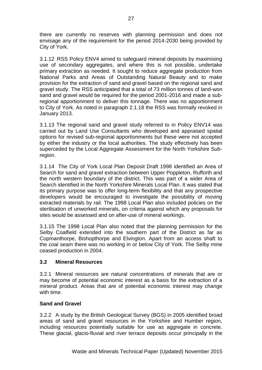there are currently no reserves with planning permission and does not envisage any of the requirement for the period 2014-2030 being provided by City of York.

3.1.12 RSS Policy ENV4 aimed to safeguard mineral deposits by maximising use of secondary aggregates, and where this is not possible, undertake primary extraction as needed. It sought to reduce aggregate production from National Parks and Areas of Outstanding Natural Beauty and to make provision for the extraction of sand and gravel based on the regional sand and gravel study. The RSS anticipated that a total of 73 million tonnes of land-won sand and gravel would be required for the period 2001-2016 and made a subregional apportionment to deliver this tonnage. There was no apportionment to City of York. As noted in paragraph 2.1.18 the RSS was formally revoked in January 2013.

3.1.13 The regional sand and gravel study referred to in Policy ENV14 was carried out by Land Use Consultants who developed and appraised spatial options for revised sub-regional apportionments but these were not accepted by either the industry or the local authorities. The study effectively has been superceded by the Local Aggregate Assessment for the North Yorkshire Subregion.

3.1.14 The City of York Local Plan Deposit Draft 1998 identified an Area of Search for sand and gravel extraction between Upper Poppleton, Rufforth and the north western boundary of the district. This was part of a wider Area of Search identified in the North Yorkshire Minerals Local Plan. It was stated that its primary purpose was to offer long-term flexibility and that any prospective developers would be encouraged to investigate the possibility of moving extracted materials by rail. The 1998 Local Plan also included policies on the sterilisation of unworked minerals, on criteria against which any proposals for sites would be assessed and on after-use of mineral workings.

3.1.15 The 1998 Local Plan also noted that the planning permission for the Selby Coalfield extended into the southern part of the District as far as Copmanthorpe, Bishopthorpe and Elvington. Apart from an access shaft to the coal seam there was no working in or below City of York. The Selby mine ceased production in 2004.

#### **3.2 Mineral Resources**

3.2.1 Mineral resources are natural concentrations of minerals that are or may become of potential economic interest as a basis for the extraction of a mineral product. Areas that are of potential economic interest may change with time.

#### **Sand and Gravel**

3.2.2 A study by the British Geological Survey (BGS) in 2005 identified broad areas of sand and gravel resources in the Yorkshire and Humber region, including resources potentially suitable for use as aggregate in concrete. These glacial, glacio-fluvial and river terrace deposits occur principally in the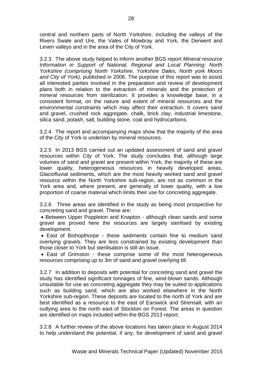central and northern parts of North Yorkshire, including the valleys of the Rivers Swale and Ure, the Vales of Mowbray and York, the Derwent and Leven valleys and in the area of the City of York.

3.2.3 The above study helped to inform another BGS report *Mineral resource Information in Support of National, Regional and Local Planning: North Yorkshire (comprising North Yorkshire, Yorkshire Dales, North york Moors and City of York),* published in 2006. The purpose of this report was to assist all interested parties involved in the preparation and review of development plans both in relation to the extraction of minerals and the protection of mineral resources from sterilization. It provides a knowledge base, in a consistent format, on the nature and extent of mineral resources and the environmental constraints which may affect their extraction. It covers sand and gravel, crushed rock aggregate, chalk, brick clay, industrial limestone, silica sand, potash, salt, building stone, coal and hydrocarbons.

3.2.4 The report and accompanying maps show that the majority of the area of the City of York is underlain by mineral resources.

3.2.5 In 2013 BGS carried out an updated assessment of sand and gravel resources within City of York. The study concludes that, although large volumes of sand and gravel are present within York, the majority of these are lower quality, heterogeneous resources in heavily developed areas. Glaciofluvial sediments, which are the most heavily worked sand and gravel resource within the North Yorkshire sub-region, are not as common in the York area and, where present, are generally of lower quality, with a low proportion of coarse material which limits their use for concreting aggregate.

3.2.6 Three areas are identified in the study as being most prospective for concreting sand and gravel. These are:

• Between Upper Poppleton and Knapton - although clean sands and some gravel are proved here the resources are largely sterilised by existing development.

 East of Bishopthorpe - these sediments contain fine to medium sand overlying gravels. They are less constrained by existing development than those closer to York but sterilisation is still an issue.

 East of Grimston - these comprise some of the most heterogeneous resources comprising up to 3m of sand and gravel overlying till.

3.2.7 In addition to deposits with potential for concreting sand and gravel the study has identified significant tonnages of fine, wind-blown sands. Although unsuitable for use as concreting aggregate they may be suited to applications such as building sand, which are also worked elsewhere in the North Yorkshire sub-region. These deposits are located to the north of York and are best identified as a resource to the east of Earswick and Strensall, with an outlying area to the north east of Stockton on Forest. The areas in question are identified on maps included within the BGS 2013 report.

3.2.8 A further review of the above locations has taken place in August 2014 to help understand the potential, if any, for development of sand and gravel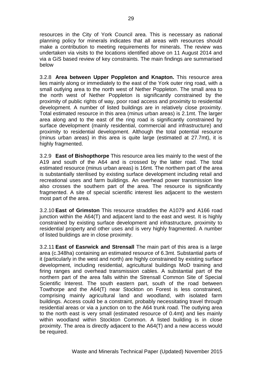resources in the City of York Council area. This is necessary as national planning policy for minerals indicates that all areas with resources should make a contribution to meeting requirements for minerals. The review was undertaken via visits to the locations identified above on 11 August 2014 and via a GiS based review of key constraints. The main findings are summarised below

3.2.8 **Area between Upper Poppleton and Knapton.** This resource area lies mainly along or immediately to the east of the York outer ring road, with a small outlying area to the north west of Nether Poppleton. The small area to the north west of Nether Poppleton is significantly constrained by the proximity of public rights of way, poor road access and proximity to residential development. A number of listed buildings are in relatively close proximity. Total estimated resource in this area (minus urban areas) is 2.1mt. The larger area along and to the east of the ring road is significantly constrained by surface development (mainly residential, commercial and infrastructure) and proximity to residential development. Although the total potential resource (minus urban areas) in this area is quite large (estimated at 27.7mt), it is highly fragmented.

3.2.9 **East of Bishopthorpe** This resource area lies mainly to the west of the A19 and south of the A64 and is crossed by the latter road. The total estimated resource (minus urban areas) is 16mt. The northern part of the area is substantially sterilised by existing surface development including retail and recreational uses and farm buildings. An overhead power transmission line also crosses the southern part of the area. The resource is significantly fragmented. A site of special scientific interest lies adjacent to the western most part of the area.

3.2.10 **East of Grimston** This resource straddles the A1079 and A166 road junction within the A64(T) and adjacent land to the east and west. It is highly constrained by existing surface development and infrastructure, proximity to residential property and other uses and is very highly fragmented. A number of listed buildings are in close proximity.

3.2.11 **East of Easrwick and Strensall** The main part of this area is a large area (c.348ha) containing an estimated resource of 6.3mt. Substantial parts of it (particularly in the west and north) are highly constrained by existing surface development, including residential, agricultural buildings MoD training and firing ranges and overhead transmission cables. A substantial part of the northern part of the area falls within the Strensall Common Site of Special Scientific Interest. The south eastern part, south of the road between Towthorpe and the A64(T) near Stockton on Forest is less constrained, comprising mainly agricultural land and woodland, with isolated farm buildings. Access could be a constraint, probably necessitating travel through residential areas or via a junction on to the A64 trunk road. The outlying area to the north east is very small (estimated resource of 0.4mt) and lies mainly within woodland within Stockton Common. A listed building is in close proximity. The area is directly adjacent to the A64(T) and a new access would be required.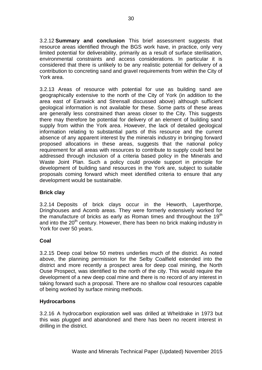3.2.12 **Summary and conclusion** This brief assessment suggests that resource areas identified through the BGS work have, in practice, only very limited potential for deliverability, primarily as a result of surface sterilisation, environmental constraints and access considerations. In particular it is considered that there is unlikely to be any realistic potential for delivery of a contribution to concreting sand and gravel requirements from within the City of York area.

3.2.13 Areas of resource with potential for use as building sand are geographically extensive to the north of the City of York (in addition to the area east of Earswick and Strensall discussed above) although sufficient geological information is not available for these. Some parts of these areas are generally less constrained than areas closer to the City. This suggests there may therefore be potential for delivery of an element of building sand supply from within the York area. However, the lack of detailed geological information relating to substantial parts of this resource and the current absence of any apparent interest by the minerals industry in bringing forward proposed allocations in these areas, suggests that the national policy requirement for all areas with resources to contribute to supply could best be addressed through inclusion of a criteria based policy in the Minerals and Waste Joint Plan. Such a policy could provide support in principle for development of building sand resources in the York are, subject to suitable proposals coming forward which meet identified criteria to ensure that any development would be sustainable.

#### **Brick clay**

3.2.14 Deposits of brick clays occur in the Heworth, Layerthorpe, Dringhouses and Acomb areas. They were formerly extensively worked for the manufacture of bricks as early as Roman times and throughout the  $19<sup>th</sup>$ and into the  $20<sup>th</sup>$  century. However, there has been no brick making industry in York for over 50 years.

#### **Coal**

3.2.15 Deep coal below 50 metres underlies much of the district. As noted above, the planning permission for the Selby Coalfield extended into the district and more recently a prospect area for deep coal mining, the North Ouse Prospect, was identified to the north of the city. This would require the development of a new deep coal mine and there is no record of any interest in taking forward such a proposal. There are no shallow coal resources capable of being worked by surface mining methods.

#### **Hydrocarbons**

3.2.16 A hydrocarbon exploration well was drilled at Wheldrake in 1973 but this was plugged and abandoned and there has been no recent interest in drilling in the district.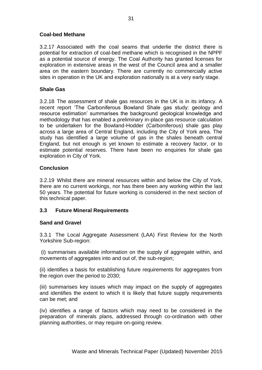#### **Coal-bed Methane**

3.2.17 Associated with the coal seams that underlie the district there is potential for extraction of coal-bed methane which is recognised in the NPPF as a potential source of energy. The Coal Authority has granted licenses for exploration in extensive areas in the west of the Council area and a smaller area on the eastern boundary. There are currently no commercially active sites in operation in the UK and exploration nationally is at a very early stage.

#### **Shale Gas**

3.2.18 The assessment of shale gas resources in the UK is in its infancy. A recent report 'The Carboniferous Bowland Shale gas study: geology and resource estimation' summarises the background geological knowledge and methodology that has enabled a preliminary in-place gas resource calculation to be undertaken for the Bowland-Hodder (Carboniferous) shale gas play across a large area of Central England, including the City of York area. The study has identified a large volume of gas in the shales beneath central England, but not enough is yet known to estimate a recovery factor, or to estimate potential reserves. There have been no enquiries for shale gas exploration in City of York.

#### **Conclusion**

3.2.19 Whilst there are mineral resources within and below the City of York, there are no current workings, nor has there been any working within the last 50 years. The potential for future working is considered in the next section of this technical paper.

#### **3.3 Future Mineral Requirements**

#### **Sand and Gravel**

3.3.1 The Local Aggregate Assessment (LAA) First Review for the North Yorkshire Sub-region:

(i) summarises available information on the supply of aggregate within, and movements of aggregates into and out of, the sub-region;

(ii) identifies a basis for establishing future requirements for aggregates from the region over the period to 2030;

(iii) summarises key issues which may impact on the supply of aggregates and identifies the extent to which it is likely that future supply requirements can be met; and

(iv) identifies a range of factors which may need to be considered in the preparation of minerals plans, addressed through co-ordination with other planning authorities, or may require on-going review.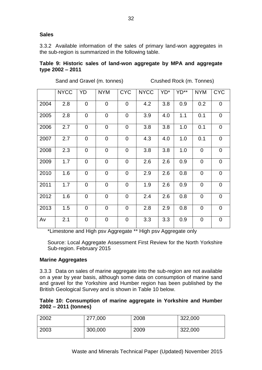#### **Sales**

3.3.2 Available information of the sales of primary land-won aggregates in the sub-region is summarized in the following table.

#### **Table 9: Historic sales of land-won aggregate by MPA and aggregate type 2002 – 2011**

Sand and Gravel (m. tonnes) Crushed Rock (m. Tonnes)

|      | <b>NYCC</b> | YD             | <b>NYM</b>     | <b>CYC</b>     | <b>NYCC</b> | YD <sup>*</sup> | $YD^{**}$ | <b>NYM</b>     | <b>CYC</b>     |
|------|-------------|----------------|----------------|----------------|-------------|-----------------|-----------|----------------|----------------|
| 2004 | 2.8         | $\overline{0}$ | $\overline{0}$ | $\overline{0}$ | 4.2         | 3.8             | 0.9       | 0.2            | $\overline{0}$ |
| 2005 | 2.8         | $\overline{0}$ | $\overline{0}$ | $\overline{0}$ | 3.9         | 4.0             | 1.1       | 0.1            | $\overline{0}$ |
| 2006 | 2.7         | $\overline{0}$ | $\mathbf 0$    | $\mathbf 0$    | 3.8         | 3.8             | 1.0       | 0.1            | $\overline{0}$ |
| 2007 | 2.7         | $\overline{0}$ | $\overline{0}$ | $\overline{0}$ | 4.3         | 4.0             | 1.0       | 0.1            | $\overline{0}$ |
| 2008 | 2.3         | $\overline{0}$ | $\mathbf 0$    | $\mathbf 0$    | 3.8         | 3.8             | 1.0       | $\overline{0}$ | $\overline{0}$ |
| 2009 | 1.7         | $\overline{0}$ | $\overline{0}$ | $\overline{0}$ | 2.6         | 2.6             | 0.9       | $\overline{0}$ | $\overline{0}$ |
| 2010 | 1.6         | $\overline{0}$ | $\overline{0}$ | $\overline{0}$ | 2.9         | 2.6             | 0.8       | $\overline{0}$ | $\overline{0}$ |
| 2011 | 1.7         | $\overline{0}$ | $\overline{0}$ | $\overline{0}$ | 1.9         | 2.6             | 0.9       | $\overline{0}$ | $\overline{0}$ |
| 2012 | 1.6         | $\overline{0}$ | $\overline{0}$ | $\overline{0}$ | 2.4         | 2.6             | 0.8       | $\overline{0}$ | $\overline{0}$ |
| 2013 | 1.5         | $\overline{0}$ | $\overline{0}$ | $\overline{0}$ | 2.8         | 2.9             | 0.8       | $\mathbf 0$    | $\overline{0}$ |
| Av   | 2.1         | $\overline{0}$ | $\overline{0}$ | $\mathbf 0$    | 3.3         | 3.3             | 0.9       | $\mathbf 0$    | $\overline{0}$ |

\*Limestone and High psv Aggregate \*\* High psv Aggregate only

Source: Local Aggregate Assessment First Review for the North Yorkshire Sub-region. February 2015

#### **Marine Aggregates**

3.3.3 Data on sales of marine aggregate into the sub-region are not available on a year by year basis, although some data on consumption of marine sand and gravel for the Yorkshire and Humber region has been published by the British Geological Survey and is shown in Table 10 below.

#### **Table 10: Consumption of marine aggregate in Yorkshire and Humber 2002 – 2011 (tonnes)**

| 2002 | 277,000 | 2008 | 322,000 |
|------|---------|------|---------|
| 2003 | 300,000 | 2009 | 322,000 |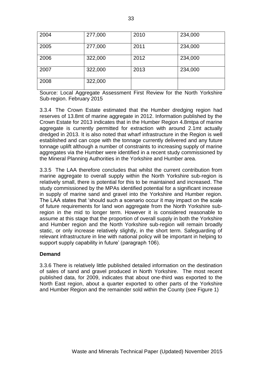| 2004 | 277,000 | 2010 | 234,000 |
|------|---------|------|---------|
| 2005 | 277,000 | 2011 | 234,000 |
| 2006 | 322,000 | 2012 | 234,000 |
| 2007 | 322,000 | 2013 | 234,000 |
| 2008 | 322,000 |      |         |

Source: Local Aggregate Assessment First Review for the North Yorkshire Sub-region. February 2015

3.3.4 The Crown Estate estimated that the Humber dredging region had reserves of 13.8mt of marine aggregate in 2012. Information published by the Crown Estate for 2013 indicates that in the Humber Region 4.8mtpa of marine aggregate is currently permitted for extraction with around 2.1mt actually dredged in 2013. It is also noted that wharf infrastructure in the Region is well established and can cope with the tonnage currently delivered and any future tonnage uplift although a number of constraints to increasing supply of marine aggregates via the Humber were identified in a recent study commissioned by the Mineral Planning Authorities in the Yorkshire and Humber area.

3.3.5 The LAA therefore concludes that whilst the current contribution from marine aggregate to overall supply within the North Yorkshire sub-region is relatively small, there is potential for this to be maintained and increased. The study commissioned by the MPAs identified potential for a significant increase in supply of marine sand and gravel into the Yorkshire and Humber region. The LAA states that 'should such a scenario occur it may impact on the scale of future requirements for land won aggregate from the North Yorkshire subregion in the mid to longer term. However it is considered reasonable to assume at this stage that the proportion of overall supply in both the Yorkshire and Humber region and the North Yorkshire sub-region will remain broadly static, or only increase relatively slightly, in the short term. Safeguarding of relevant infrastructure in line with national policy will be important in helping to support supply capability in future' (paragraph 106).

#### **Demand**

3.3.6 There is relatively little published detailed information on the destination of sales of sand and gravel produced in North Yorkshire. The most recent published data, for 2009, indicates that about one-third was exported to the North East region, about a quarter exported to other parts of the Yorkshire and Humber Region and the remainder sold within the County (see Figure 1)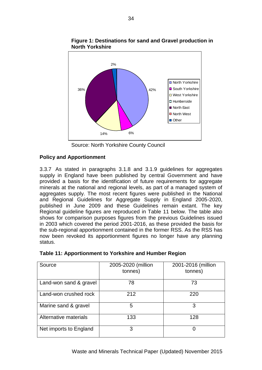

**Figure 1: Destinations for sand and Gravel production in North Yorkshire**

Source: North Yorkshire County Council

#### **Policy and Apportionment**

3.3.7 As stated in paragraphs 3.1.8 and 3.1.9 guidelines for aggregates supply in England have been published by central Government and have provided a basis for the identification of future requirements for aggregate minerals at the national and regional levels, as part of a managed system of aggregates supply. The most recent figures were published in the National and Regional Guidelines for Aggregate Supply in England 2005-2020, published in June 2009 and these Guidelines remain extant. The key Regional guideline figures are reproduced in Table 11 below. The table also shows for comparison purposes figures from the previous Guidelines issued in 2003 which covered the period 2001-2016, as these provided the basis for the sub-regional apportionment contained in the former RSS. As the RSS has now been revoked its apportionment figures no longer have any planning status.

| Source                 | 2005-2020 (million<br>tonnes) | 2001-2016 (million<br>tonnes) |
|------------------------|-------------------------------|-------------------------------|
| Land-won sand & gravel | 78                            | 73                            |
| Land-won crushed rock  | 212                           | 220                           |
| Marine sand & gravel   | 5                             | 3                             |
| Alternative materials  | 133                           | 128                           |
| Net imports to England | 3                             |                               |

|  | Table 11: Apportionment to Yorkshire and Humber Region |
|--|--------------------------------------------------------|
|--|--------------------------------------------------------|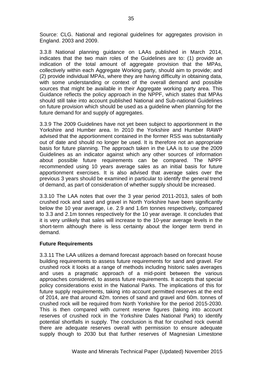Source: CLG. National and regional guidelines for aggregates provision in England. 2003 and 2009.

3.3.8 National planning guidance on LAAs published in March 2014, indicates that the two main roles of the Guidelines are to: (1) provide an indication of the total amount of aggregate provision that the MPAs, collectively within each Aggregate Working party, should aim to provide; and (2) provide individual MPAs, where they are having difficulty in obtaining data, with some understanding or context of the overall demand and possible sources that might be available in their Aggregate working party area. This Guidance reflects the policy approach in the NPPF, which states that MPAs should still take into account published National and Sub-national Guidelines on future provision which should be used as a guideline when planning for the future demand for and supply of aggregates.

3.3.9 The 2009 Guidelines have not yet been subject to apportionment in the Yorkshire and Humber area. In 2010 the Yorkshire and Humber RAWP advised that the apportionment contained in the former RSS was substantially out of date and should no longer be used. It is therefore not an appropriate basis for future planning. The approach taken in the LAA is to use the 2009 Guidelines as an indicator against which any other sources of information about possible future requirements can be compared. The NPPF recommended using 10 years average sales as an initial basis for future apportionment exercises. It is also advised that average sales over the previous 3 years should be examined in particular to identify the general trend of demand, as part of consideration of whether supply should be increased.

3.3.10 The LAA notes that over the 3 year period 2011-2013, sales of both crushed rock and sand and gravel in North Yorkshire have been significantly below the 10 year average, i.e. 2.9 and 1.6m tonnes respectively, compared to 3.3 and 2.1m tonnes respectively for the 10 year average. It concludes that it is very unlikely that sales will increase to the 10-year average levels in the short-term although there is less certainty about the longer term trend in demand.

#### **Future Requirements**

3.3.11 The LAA utilizes a demand forecast approach based on forecast house building requirements to assess future requirements for sand and gravel. For crushed rock it looks at a range of methods including historic sales averages and uses a pragmatic approach of a mid-point between the various approaches considered, to assess future requirements. It accepts that special policy considerations exist in the National Parks. The implications of this for future supply requirements, taking into account permitted reserves at the end of 2014, are that around 42m. tonnes of sand and gravel and 60m. tonnes of crushed rock will be required from North Yorkshire for the period 2015-2030. This is then compared with current reserve figures (taking into account reserves of crushed rock in the Yorkshire Dales National Park) to identify potential shortfalls in supply. The conclusion is that for crushed rock overall there are adequate reserves overall with permission to ensure adequate supply though to 2030 but that further reserves of Magnesian Limestone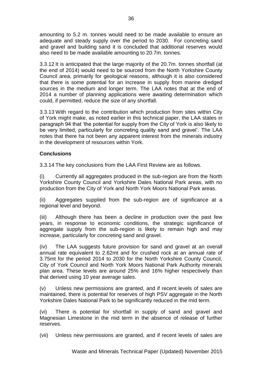amounting to 5.2 m. tonnes would need to be made available to ensure an adequate and steady supply over the period to 2030. For concreting sand and gravel and building sand it is concluded that additional reserves would also need to be made available amounting to 20.7m. tonnes.

3.3.12 It is anticipated that the large majority of the 20.7m. tonnes shortfall (at the end of 2014) would need to be sourced from the North Yorkshire County Council area, primarily for geological reasons, although it is also considered that there is some potential for an increase in supply from marine dredged sources in the medium and longer term. The LAA notes that at the end of 2014 a number of planning applications were awaiting determination which could, if permitted, reduce the size of any shortfall.

3.3.13 With regard to the contribution which production from sites within City of York might make, as noted earlier in this technical paper, the LAA states in paragraph 94 that 'the potential for supply from the City of York is also likely to be very limited, particularly for concreting quality sand and gravel'. The LAA notes that there ha not been any apparent interest from the minerals industry in the development of resources within York.

#### **Conclusions**

3.3.14 The key conclusions from the LAA First Review are as follows.

(i) Currently all aggregates produced in the sub-region are from the North Yorkshire County Council and Yorkshire Dales National Park areas, with no production from the City of York and North York Moors National Park areas.

(ii) Aggregates supplied from the sub-region are of significance at a regional level and beyond.

(iii) Although there has been a decline in production over the past few years, in response to economic conditions, the strategic significance of aggregate supply from the sub-region is likely to remain high and may increase, particularly for concreting sand and gravel.

(iv) The LAA suggests future provision for sand and gravel at an overall annual rate equivalent to 2.62mt and for crushed rock at an annual rate of 3.75mt for the period 2014 to 2030 for the North Yorkshire County Council, City of York Council and North York Moors National Park Authority minerals plan area. These levels are around 25% and 16% higher respectively than that derived using 10 year average sales.

(v) Unless new permissions are granted, and if recent levels of sales are maintained, there is potential for reserves of high PSV aggregate in the North Yorkshire Dales National Park to be significantly reduced in the mid term.

(vi) There is potential for shortfall in supply of sand and gravel and Magnesian Limestone in the mid term in the absence of release of further reserves.

(vii) Unless new permissions are granted, and if recent levels of sales are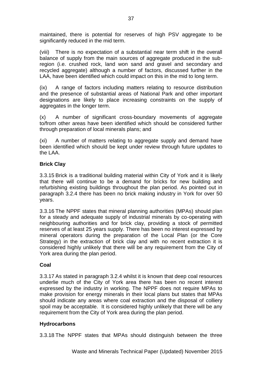maintained, there is potential for reserves of high PSV aggregate to be significantly reduced in the mid term.

(viii) There is no expectation of a substantial near term shift in the overall balance of supply from the main sources of aggregate produced in the subregion (i.e. crushed rock, land won sand and gravel and secondary and recycled aggregate) although a number of factors, discussed further in the LAA, have been identified which could impact on this in the mid to long term.

(ix) A range of factors including matters relating to resource distribution and the presence of substantial areas of National Park and other important designations are likely to place increasing constraints on the supply of aggregates in the longer term.

(x) A number of significant cross-boundary movements of aggregate to/from other areas have been identified which should be considered further through preparation of local minerals plans; and

(xi) A number of matters relating to aggregate supply and demand have been identified which should be kept under review through future updates to the LAA.

#### **Brick Clay**

3.3.15 Brick is a traditional building material within City of York and it is likely that there will continue to be a demand for bricks for new building and refurbishing existing buildings throughout the plan period. As pointed out in paragraph 3.2.4 there has been no brick making industry in York for over 50 years.

3.3.16 The NPPF states that mineral planning authorities (MPAs) should plan for a steady and adequate supply of industrial minerals by co-operating with neighbouring authorities and for brick clay, providing a stock of permitted reserves of at least 25 years supply. There has been no interest expressed by mineral operators during the preparation of the Local Plan (or the Core Strategy) in the extraction of brick clay and with no recent extraction it is considered highly unlikely that there will be any requirement from the City of York area during the plan period.

#### **Coal**

3.3.17 As stated in paragraph 3.2.4 whilst it is known that deep coal resources underlie much of the City of York area there has been no recent interest expressed by the industry in working. The NPPF does not require MPAs to make provision for energy minerals in their local plans but states that MPAs should indicate any areas where coal extraction and the disposal of colliery spoil may be acceptable. It is considered highly unlikely that there will be any requirement from the City of York area during the plan period.

#### **Hydrocarbons**

3.3.18 The NPPF states that MPAs should distinguish between the three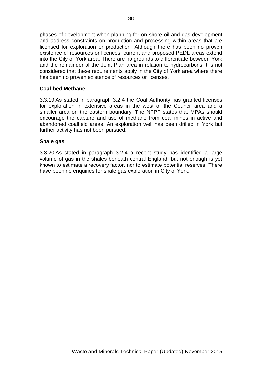phases of development when planning for on-shore oil and gas development and address constraints on production and processing within areas that are licensed for exploration or production. Although there has been no proven existence of resources or licences, current and proposed PEDL areas extend into the City of York area. There are no grounds to differentiate between York and the remainder of the Joint Plan area in relation to hydrocarbons It is not considered that these requirements apply in the City of York area where there has been no proven existence of resources or licenses.

#### **Coal-bed Methane**

3.3.19 As stated in paragraph 3.2.4 the Coal Authority has granted licenses for exploration in extensive areas in the west of the Council area and a smaller area on the eastern boundary. The NPPF states that MPAs should encourage the capture and use of methane from coal mines in active and abandoned coalfield areas. An exploration well has been drilled in York but further activity has not been pursued.

#### **Shale gas**

3.3.20 As stated in paragraph 3.2.4 a recent study has identified a large volume of gas in the shales beneath central England, but not enough is yet known to estimate a recovery factor, nor to estimate potential reserves. There have been no enquiries for shale gas exploration in City of York.